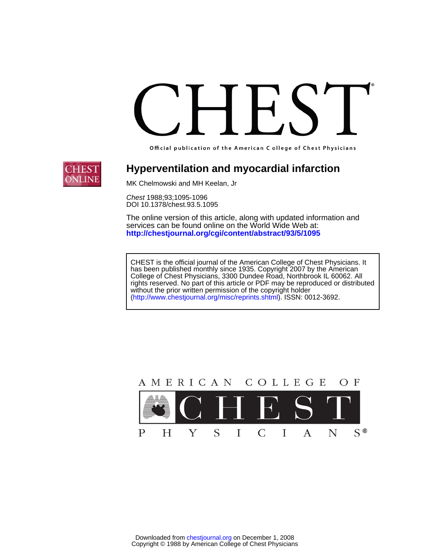Official publication of the American C ollege of Chest Physicians



# **Hyperventilation and myocardial infarction**

MK Chelmowski and MH Keelan, Jr

DOI 10.1378/chest.93.5.1095 Chest 1988;93;1095-1096

**<http://chestjournal.org/cgi/content/abstract/93/5/1095>** services can be found online on the World Wide Web at: The online version of this article, along with updated information and

(http://www.chestjournal.org/misc/reprints.shtml). ISSN: 0012-3692. without the prior written permission of the copyright holder rights reserved. No part of this article or PDF may be reproduced or distributed College of Chest Physicians, 3300 Dundee Road, Northbrook IL 60062. All has been published monthly since 1935. Copyright 2007 by the American CHEST is the official journal of the American College of Chest Physicians. It

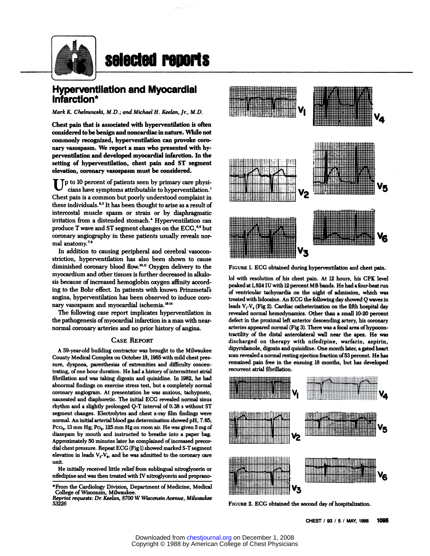

# selected reports

# **Hyperventilation and Myocardial lnfarction\***

*Mark K. Chelmowski, M.D.; and Michael H. Keelan, Jr., M.D.* 

Chest pain that is associated with hyperventilation is often considered to be benign and noncardiac in nature. While not commonly recognized, hyperventilafion can provoke coro nary vasospasm. We report a man who presented with hyperventilation and developed myocardial infarction. In the setting of hyperventilation, chest pain and ST segment elevation, coronary vasospasm must be considered.

Tp to 10 percent of patients seen by primary care physicians have symptoms attributable to hyperventilation.' Chest pain is a common but poorly understood complaint in these individuals.<sup>2,3</sup> It has been thought to arise as a result of intercostal muscle spasm or strain or by diaphragmatic irritation from a distended stomach.<sup>4</sup> Hyperventilation can produce T wave and ST segment changes on the ECG,<sup>5,6</sup> but coronary angiography in these patients usually reveals nor mal anatomy.

In addition to causing peripheral and cerebral vasoconstriction, hyperventilation has also been shown to cause diminished coronary blood flow.<sup>10,11</sup> Oxygen delivery to the myocardium and other tissues is further decreased in alkalosis because of increased hemoglobin oxygen affinity according to the Bohr effect. In patients with known Prinzmetal's angina, hyperventilation has been observed to induce coro nary vasospasm and myocardial ischemia.<sup>12-14</sup>

The following case report implicates hyperventilation in the pathogenesis of myocardial infarction in a man with nearnormal coronary arteries and no prior history of angina.

#### **CASE REPORT**

A 59-year-old building contractor was brought to the Milwaukee County Medical Complex on October 18, 1985 with mild chest pres sure, dyspnea, paresthesias of extremities and difficulty concentrating, of one hour duration. He had a history of intermittent atrial fibrillation and was taking digoxin and quinidine. In 1982, he had abnormal findings on exercise stress test, but a completely normal coronary angiogram. At presentation he was anxious, tachypneic, nauseated and diaphoretic. The initial ECG revealed normal sinus rhythm and a slightly prolonged Q-T interval of 0.38 s without ST segment changes. Electrolytes and chest x-ray film findings were normal. An initial arterial blood gas determination showed pH, 7.65; Pco<sub>2</sub>, 13 mm Hg; Po<sub>2</sub>, 125 mm Hg on room air. He was given 5 mg of diazepam by mouth and instructed to breathe into a paper bag. Approximately 50 minutes later he complained of increased precor dial chest pressure. Repeat ECG (Fig 1) showed marked S-T segment elevation in leads  $V_3$ - $V_6$ , and he was admitted to the coronary care unit.<br>He initially received little relief from sublingual nitroglycerin or

nifedipine and was then treated with IV nitroglycerin and proprano-



**FIGURE** 1. ECG obtained during hyperventilation and chest pain.

lol with resolution of his chest pain. At 12 hours, his CPK level peaked at 1,824 IU with 12 percent MB bands. He had a four-beat run of ventricular tachycardia on the night of admission, which was treated withlidocaine. An ECG the following day showed *Q* waves in leads  $V_1-V_4$  (Fig 2). Cardiac catheterization on the fifth hospital day revealed normal hemodynamics. Other than a small 10-20 percent **defect** in the proximal left anterior descending artery, his coronary arteries appeared normal (Fig 3). There was a focal area of hypocontractility of the distal anterolateral wall near the apex. He was discharged on therapy with nifedipine, warfarin, aspirin, dipyridamole, digoxin and quinidine. One month later, agated heart scan revealed a normal resting ejection fraction of53 percent. He has remained pain free in the ensuing 18 months, but has developed recurrent atrial fibrillation.



**FIGURE** 2. ECG obtained the second day of hospitalization.

<sup>\*</sup>Fmm the Cardiology Division, Department of Medicine, Medical College of Wisconsin, Milwaukee.

*Reprint requests: Dr Keelan, 8700 W Wisconsin Avenue, Milwaukee* 53226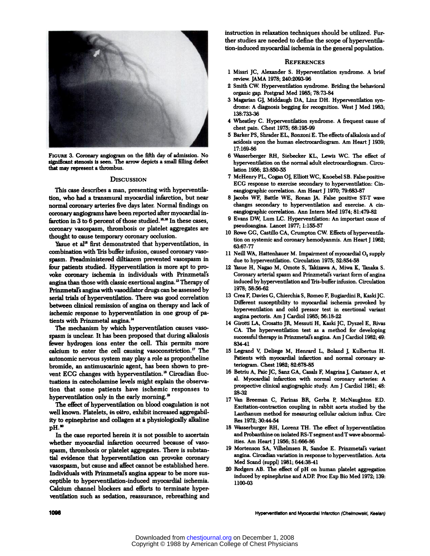

**FIGURE** 3. Coronary angiogram on the fifth day of admission. No significant stenosis is seen. The arrow depicts a small filling defect that may represent a thrombus.

#### **DISCUSSION**

This case describes a man, presenting with hyperventilation, who had a transmural myocardial infarction, but near normal coronary arteries five days later. Normal findings on coronary angiograms have been reported after myocardial infarction in 3 to 6 percent of those studied.<sup>15,16</sup> In these cases, coronary vasospasm, thrombosis or platelet aggregates are thought to cause temporary coronary occlusion.

Yasue et al<sup>12</sup> first demonstrated that hyperventilation, in combination with Tris buffer infusion, caused coronary vasospasm. Preadministered diltiazem prevented vasospasm in four patients studied. Hyperventilation is more apt to proyoke coronary ischemia in individuals with Prinzmetal's angina than those with classic exertional angina.<sup>13</sup> Therapy of Prinzmetal's angina with vasodilator drugs can be assessed by serial trials of hyperventilation. There was good correlation between clinical remission of angina on therapy and lack of ischemic response to hyperventilation in one group of patients with Prinzmetal angina.'4

The mechanism by which hyperventilation causes vaso spasm is unclear. It has been proposed that during alkalosis fewer hydrogen ions enter the cell. This permits more calcium to enter the cell causing vasoconstriction.<sup>17</sup> The autonomic nervous system may play a role as propontheline bromide, an antimuscarinic agent, has been shown to prevent ECG changes with hyperventilation.<sup>18</sup> Circadian fluctuations in catecholamine levels might explain the observation that some patients have ischemic responses to hyperventilation only in the early morning.<sup>19</sup>

The effect of hyperventilation on blood coagulation is not well known. Platelets, *in vitro,* exhibit increased aggregability to epinephrine and collagen at a physiologically alkaline pH.

In the case reported herein it is not possible to ascertain whether myocardial infarction occurred because of vaso spasm, thrombosis or platelet aggregates. There is substantial evidence that hyperventilation can provoke coronary vasospasm, but cause and affect cannot be established here. Individuals with Prinzmetal's angina appear to be more sus ceptible to hyperventilation-induced myocardial ischemia. Calcium channel blockers and efforts to terminate hyperventilation such as sedation, reassurance, rebreathing and instruction in relaxation techniques should be utilized. Further studies are needed to define the scope of hyperventilation-induced myocardial ischemia in the general population.

### **REFERENCES**

- 1 Missri JC, Alexander S. Hyperventilation syndrome. A brief review. JAMA 1978; 240:2093-96
- 2 Smith CW. Hyperventilation syndrome. Briding the behavioral organic gap. Postgrad Med 1985; 78:73-84
- 3 Magarian GJ, Middaugh DA, Linz DH. Hyperventilation syn drome: A diagnosis begging for recognition. West J Med 1983; 138:733-38
- **4 Wheafley C.** Hyperventilation syndrome. A frequent cause of chest pain. Chest 1975; 68:195-99
- 5 Barker PS, Shrader EL, Ronzoni E. The effects ofalkalosis and of acidosis upon the human electrocardiogram. Am Heart J 1939; 17: 169-86
- 6 Wasserberger **RH,** Siebecker KL, Lewis WC. The effect of hyperventilation on the normal adult electrocardiogram. Circulation 1956; 23:850-55
- 7 McHenry PL, Cogan OJ, Elliott WC, Knoebel SB. False positive ECG response to exercise secondary to hyperventilation: Cmeangiographic correlation. Am Heart J 1970; 79:683-87
- 8 Jacobs WF, Battle WE, Ronan JA. False positive ST-T wave changes secondary to hyperventilation and exercise. A cm eangiographic correlation. Ann Intern Med 1974; 81:479-82
- 9 Evans DW, Lum LC. Hyperventilation: An important cause of pseudoangmna. Lancet 1977; 1:155-57
- 10 Rowe GG, Castillo CA, Crumpton CW. Effects of hyperventilation on systemic and coronary hemodyanmis. Am Heart J 1962; 63:67-77
- 11 Neill WA, Hattenhauer M. Impairment of myocardial O, supply due to hyperventilation. Circulation 1975; 52:854-58
- 12 Yasue H, Nagao M, Omote 5, Takizawa A, Miwa K, Tanaka S. Coronary arterial spasm and Prinzmetal's variant form of angina induced by hyperventilation and Tris-buffer infusion. Circulation 1978; 58:56-62
- 13 Crea F, Davies G, Chierchia S, Romeo F, Bugiardini R, Kaski JC. Different susceptibility to myocardial ischemia provoked by hyperventilation and cold pressor test in exertional variant angina pectoris. Am J Cardiol 1985; 56: 18-22
- 14 Girotti LA, Crosatto JR. Messuti H, Kaski **JC,** Dyszel E, Rivas CA. The hyperventilation test as a method for developing successful therapy in Prinzmetal's angina. Am J Cardiol 1982; 49: 834-41
- 15 Legrand V, Deliege M, Henrard L, Boland J, Kulbertus H. Patients with myocardial infarction and normal coronary arteriogram. Chest 1982; 82:678-85
- 16 Betriu A, Paic JC, Sanz GA, Casals F, Magrina J, Castaner A, et al. Myocardial infarction with normal coronary arteries: A prospective clinical angiographic study. Am J Cardiol 1981; 48: 28-32
- 17 Van Breeman C, Farinas BR, Gerba P, McNaughton ED. Excitation-contraction coupling in rabbit aorta studied by the Lanthanum method for measuring cellular calcium influx. Circ **Res** 1972; 30:44-54
- 18 Wasserburger RH, Lorenz TH. The effect of hyperventilation and Probanthine on isolated RS-T segment and T wave abnormalities. Am Heart J 1956; 51:666-86
- 19 Mortenson SA, Vilhelmsen R, Sandoe E. Prinzmetal's variant angina. Circadian variation in response to hyperventilation. Acta Med Scand (suppl) 1981; 644:38-41
- 20 Rodgers AB. The effect of pH on human platelet aggregation induced by epinephrine and ADP. Proc Exp Bio Med 1972; 139: 1100-03

1096 Hyperventilation and Myocardial Infarction (Chelmowski, Keelan)